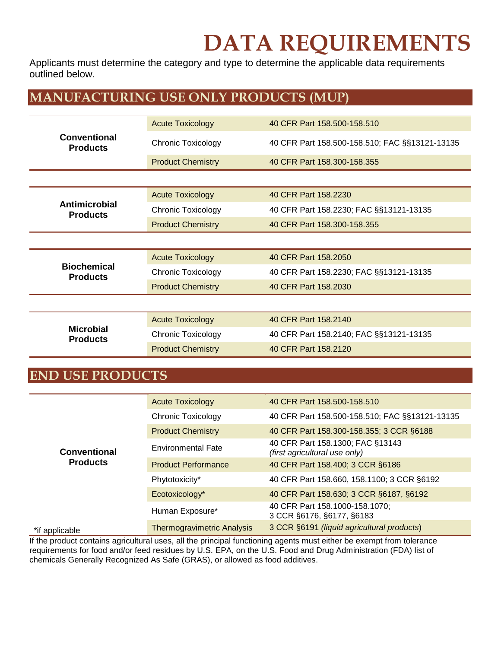Applicants must determine the category and type to determine the applicable data requirements outlined below.

### **MANUFACTURING USE ONLY PRODUCTS (MUP)**

| Conventional<br><b>Products</b>       | <b>Acute Toxicology</b>   | 40 CFR Part 158.500-158.510                    |  |
|---------------------------------------|---------------------------|------------------------------------------------|--|
|                                       | <b>Chronic Toxicology</b> | 40 CFR Part 158.500-158.510; FAC §§13121-13135 |  |
|                                       | <b>Product Chemistry</b>  | 40 CFR Part 158.300-158.355                    |  |
|                                       |                           |                                                |  |
| Antimicrobial<br><b>Products</b>      | <b>Acute Toxicology</b>   | 40 CFR Part 158.2230                           |  |
|                                       | <b>Chronic Toxicology</b> | 40 CFR Part 158.2230; FAC §§13121-13135        |  |
|                                       | <b>Product Chemistry</b>  | 40 CFR Part 158.300-158.355                    |  |
|                                       |                           |                                                |  |
|                                       | <b>Acute Toxicology</b>   | 40 CFR Part 158,2050                           |  |
| <b>Biochemical</b><br><b>Products</b> | <b>Chronic Toxicology</b> | 40 CFR Part 158.2230; FAC §§13121-13135        |  |
|                                       | <b>Product Chemistry</b>  | 40 CFR Part 158.2030                           |  |
|                                       |                           |                                                |  |
| <b>Microbial</b><br><b>Products</b>   | <b>Acute Toxicology</b>   | 40 CFR Part 158.2140                           |  |
|                                       | <b>Chronic Toxicology</b> | 40 CFR Part 158.2140; FAC §§13121-13135        |  |
|                                       | <b>Product Chemistry</b>  | 40 CFR Part 158.2120                           |  |

#### **END USE PRODUCTS**

| Conventional<br><b>Products</b> | <b>Acute Toxicology</b>           | 40 CFR Part 158,500-158,510                                       |
|---------------------------------|-----------------------------------|-------------------------------------------------------------------|
|                                 | Chronic Toxicology                | 40 CFR Part 158.500-158.510; FAC §§13121-13135                    |
|                                 | <b>Product Chemistry</b>          | 40 CFR Part 158.300-158.355; 3 CCR §6188                          |
|                                 | <b>Environmental Fate</b>         | 40 CFR Part 158.1300; FAC §13143<br>(first agricultural use only) |
|                                 | <b>Product Performance</b>        | 40 CFR Part 158.400; 3 CCR §6186                                  |
|                                 | Phytotoxicity*                    | 40 CFR Part 158.660, 158.1100; 3 CCR §6192                        |
|                                 | Ecotoxicology*                    | 40 CFR Part 158.630; 3 CCR §6187, §6192                           |
|                                 | Human Exposure*                   | 40 CFR Part 158.1000-158.1070;<br>3 CCR §6176, §6177, §6183       |
| *if applicable                  | <b>Thermogravimetric Analysis</b> | 3 CCR §6191 (liquid agricultural products)                        |

If the product contains agricultural uses, all the principal functioning agents must either be exempt from tolerance requirements for food and/or feed residues by U.S. EPA, on the U.S. Food and Drug Administration (FDA) list of chemicals Generally Recognized As Safe (GRAS), or allowed as food additives.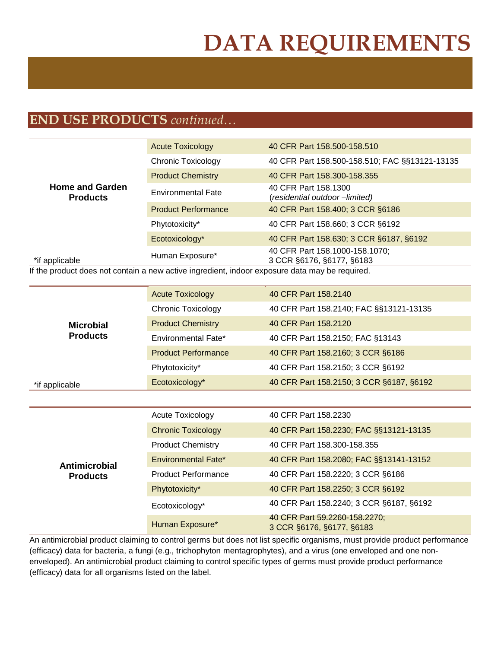### **END USE PRODUCTS** *continued…*

| <b>Home and Garden</b><br><b>Products</b> | <b>Acute Toxicology</b>    | 40 CFR Part 158.500-158.510                                 |
|-------------------------------------------|----------------------------|-------------------------------------------------------------|
|                                           | <b>Chronic Toxicology</b>  | 40 CFR Part 158.500-158.510; FAC §§13121-13135              |
|                                           | <b>Product Chemistry</b>   | 40 CFR Part 158,300-158,355                                 |
|                                           | <b>Environmental Fate</b>  | 40 CFR Part 158.1300<br>(residential outdoor -limited)      |
|                                           | <b>Product Performance</b> | 40 CFR Part 158.400; 3 CCR §6186                            |
|                                           | Phytotoxicity*             | 40 CFR Part 158.660; 3 CCR §6192                            |
|                                           | Ecotoxicology*             | 40 CFR Part 158.630; 3 CCR §6187, §6192                     |
| *if applicable                            | Human Exposure*            | 40 CFR Part 158.1000-158.1070;<br>3 CCR §6176, §6177, §6183 |

If the product does not contain a new active ingredient, indoor exposure data may be required.

| <b>Microbial</b><br><b>Products</b> | <b>Acute Toxicology</b>                                    | 40 CFR Part 158.2140                                       |  |
|-------------------------------------|------------------------------------------------------------|------------------------------------------------------------|--|
|                                     | <b>Chronic Toxicology</b>                                  | 40 CFR Part 158.2140; FAC §§13121-13135                    |  |
|                                     | <b>Product Chemistry</b>                                   | 40 CFR Part 158.2120                                       |  |
|                                     | Environmental Fate*                                        | 40 CFR Part 158.2150; FAC §13143                           |  |
|                                     | <b>Product Performance</b>                                 | 40 CFR Part 158.2160; 3 CCR §6186                          |  |
|                                     | Phytotoxicity*                                             | 40 CFR Part 158.2150; 3 CCR §6192                          |  |
| *if applicable                      | 40 CFR Part 158.2150; 3 CCR §6187, §6192<br>Ecotoxicology* |                                                            |  |
|                                     |                                                            |                                                            |  |
|                                     | <b>Acute Toxicology</b>                                    | 40 CFR Part 158.2230                                       |  |
|                                     | <b>Chronic Toxicology</b>                                  | 40 CFR Part 158.2230; FAC §§13121-13135                    |  |
|                                     | <b>Product Chemistry</b>                                   | 40 CFR Part 158,300-158,355                                |  |
| <b>Antimicrobial</b>                | Environmental Fate*                                        | 40 CFR Part 158.2080; FAC §§13141-13152                    |  |
| <b>Products</b>                     | <b>Product Performance</b>                                 | 40 CFR Part 158.2220; 3 CCR §6186                          |  |
|                                     | Phytotoxicity*                                             | 40 CFR Part 158.2250; 3 CCR §6192                          |  |
|                                     | Ecotoxicology*                                             | 40 CFR Part 158.2240; 3 CCR §6187, §6192                   |  |
|                                     | Human Exposure*                                            | 40 CFR Part 59.2260-158.2270;<br>3 CCR §6176, §6177, §6183 |  |

An antimicrobial product claiming to control germs but does not list specific organisms, must provide product performance (efficacy) data for bacteria, a fungi (e.g., trichophyton mentagrophytes), and a virus (one enveloped and one nonenveloped). An antimicrobial product claiming to control specific types of germs must provide product performance (efficacy) data for all organisms listed on the label.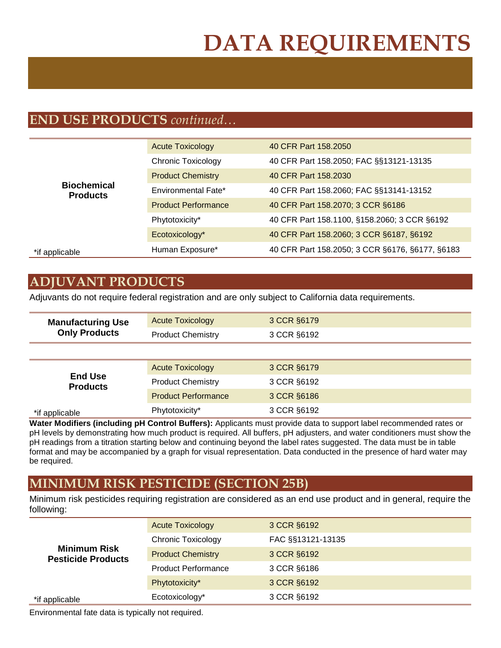### **END USE PRODUCTS** *continued…*

| <b>Biochemical</b><br><b>Products</b> | <b>Acute Toxicology</b>    | 40 CFR Part 158.2050                            |
|---------------------------------------|----------------------------|-------------------------------------------------|
|                                       | <b>Chronic Toxicology</b>  | 40 CFR Part 158.2050; FAC §§13121-13135         |
|                                       | <b>Product Chemistry</b>   | 40 CFR Part 158,2030                            |
|                                       | Environmental Fate*        | 40 CFR Part 158.2060; FAC §§13141-13152         |
|                                       | <b>Product Performance</b> | 40 CFR Part 158.2070; 3 CCR §6186               |
|                                       | Phytotoxicity*             | 40 CFR Part 158.1100, §158.2060; 3 CCR §6192    |
|                                       | Ecotoxicology*             | 40 CFR Part 158.2060; 3 CCR §6187, §6192        |
| *if applicable                        | Human Exposure*            | 40 CFR Part 158.2050; 3 CCR §6176, §6177, §6183 |

### **ADJUVANT PRODUCTS**

Adjuvants do not require federal registration and are only subject to California data requirements.

| <b>Manufacturing Use</b><br><b>Only Products</b> | <b>Acute Toxicology</b>    | 3 CCR §6179 |  |
|--------------------------------------------------|----------------------------|-------------|--|
|                                                  | <b>Product Chemistry</b>   | 3 CCR §6192 |  |
|                                                  |                            |             |  |
| <b>End Use</b><br><b>Products</b>                | <b>Acute Toxicology</b>    | 3 CCR §6179 |  |
|                                                  | <b>Product Chemistry</b>   | 3 CCR §6192 |  |
|                                                  | <b>Product Performance</b> | 3 CCR §6186 |  |
| *if applicable                                   | Phytotoxicity*             | 3 CCR §6192 |  |

**Water Modifiers (including pH Control Buffers):** Applicants must provide data to support label recommended rates or pH levels by demonstrating how much product is required. All buffers, pH adjusters, and water conditioners must show the pH readings from a titration starting below and continuing beyond the label rates suggested. The data must be in table format and may be accompanied by a graph for visual representation. Data conducted in the presence of hard water may be required.

#### **MINIMUM RISK PESTICIDE (SECTION 25B)**

Minimum risk pesticides requiring registration are considered as an end use product and in general, require the following:

| <b>Minimum Risk</b><br><b>Pesticide Products</b> | <b>Acute Toxicology</b>    | 3 CCR §6192       |
|--------------------------------------------------|----------------------------|-------------------|
|                                                  | <b>Chronic Toxicology</b>  | FAC §§13121-13135 |
|                                                  | <b>Product Chemistry</b>   | 3 CCR §6192       |
|                                                  | <b>Product Performance</b> | 3 CCR §6186       |
|                                                  | Phytotoxicity*             | 3 CCR §6192       |
| *if applicable                                   | Ecotoxicology*             | 3 CCR §6192       |

Environmental fate data is typically not required.